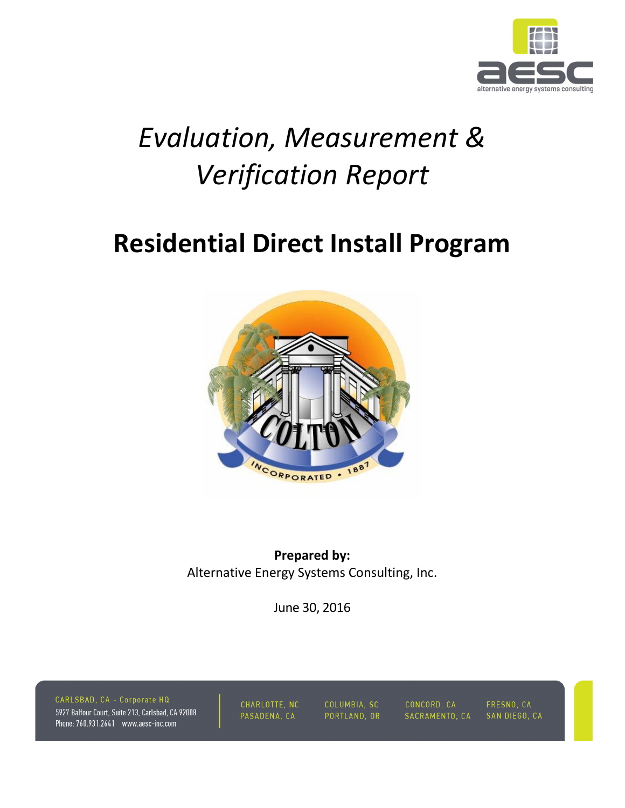

# *Evaluation, Measurement & Verification Report*

## **Residential Direct Install Program**



**Prepared by:**  Alternative Energy Systems Consulting, Inc.

June 30, 2016

CARLSBAD, CA - Corporate HQ 5927 Balfour Court, Suite 213, Carlsbad, CA 92008 Phone: 760.931.2641 www.aesc-inc.com

CHARLOTTE, NC PASADENA, CA

COLUMBIA, SC PORTLAND, OR CONCORD, CA SACRAMENTO, CA

FRESNO, CA SAN DIEGO, CA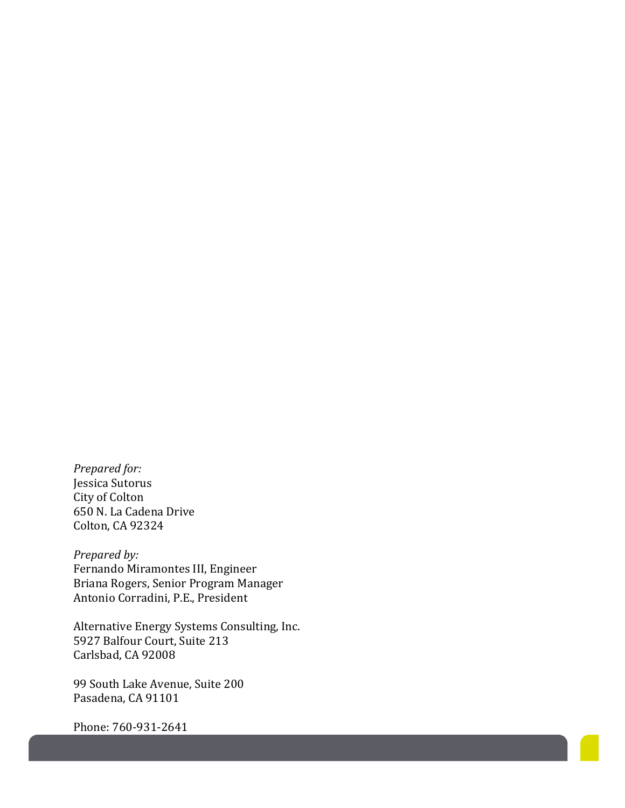*Prepared for:*  Jessica Sutorus City of Colton 650 N. La Cadena Drive Colton, CA 92324

*Prepared by:*  Fernando Miramontes III, Engineer Briana Rogers, Senior Program Manager Antonio Corradini, P.E., President

Alternative Energy Systems Consulting, Inc. 5927 Balfour Court, Suite 213 Carlsbad, CA 92008

99 South Lake Avenue, Suite 200 Pasadena, CA 91101

Phone: 760-931-2641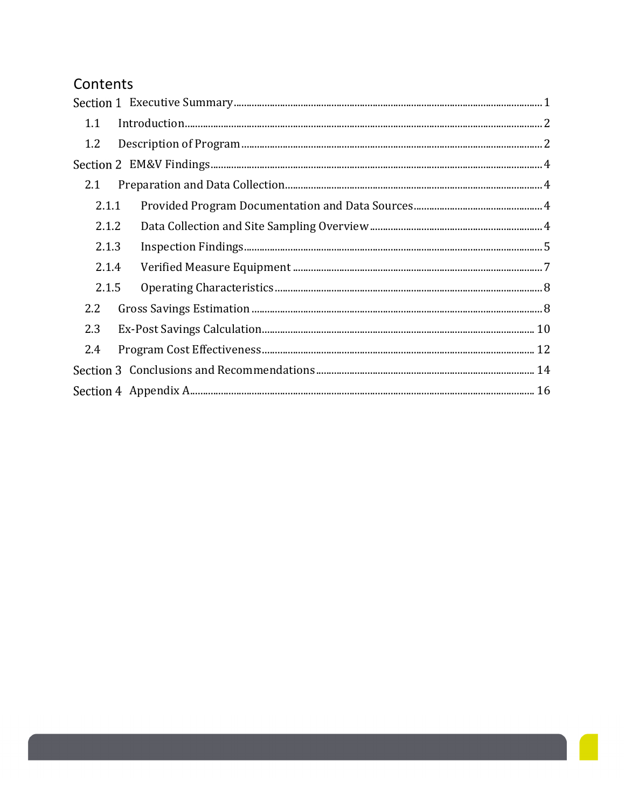### Contents

| 1.1   |  |
|-------|--|
| 1.2   |  |
|       |  |
| 2.1   |  |
| 2.1.1 |  |
| 2.1.2 |  |
| 2.1.3 |  |
| 2.1.4 |  |
| 2.1.5 |  |
| 2.2   |  |
| 2.3   |  |
| 2.4   |  |
|       |  |
|       |  |
|       |  |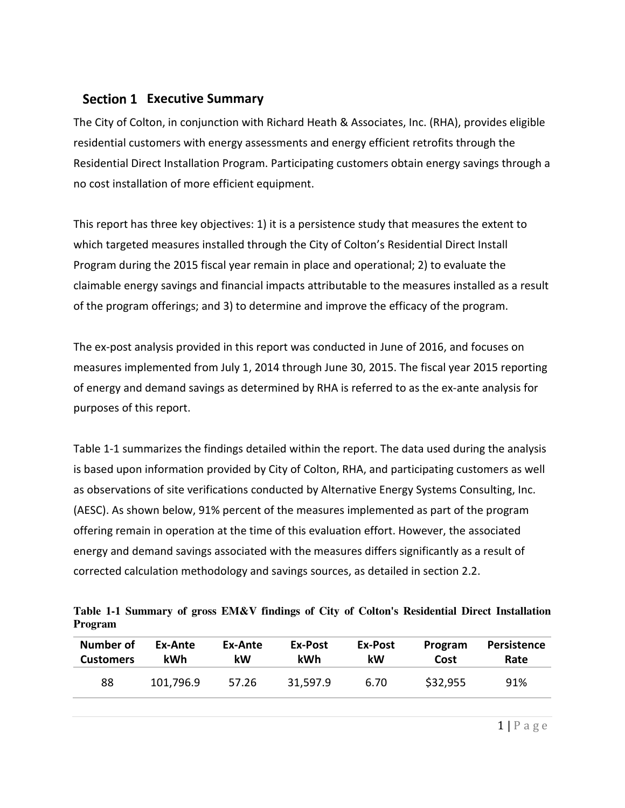### **Section 1 Executive Summary**

The City of Colton, in conjunction with Richard Heath & Associates, Inc. (RHA), provides eligible residential customers with energy assessments and energy efficient retrofits through the Residential Direct Installation Program. Participating customers obtain energy savings through a no cost installation of more efficient equipment.

This report has three key objectives: 1) it is a persistence study that measures the extent to which targeted measures installed through the City of Colton's Residential Direct Install Program during the 2015 fiscal year remain in place and operational; 2) to evaluate the claimable energy savings and financial impacts attributable to the measures installed as a result of the program offerings; and 3) to determine and improve the efficacy of the program.

The ex-post analysis provided in this report was conducted in June of 2016, and focuses on measures implemented from July 1, 2014 through June 30, 2015. The fiscal year 2015 reporting of energy and demand savings as determined by RHA is referred to as the ex-ante analysis for purposes of this report.

Table 1-1 summarizes the findings detailed within the report. The data used during the analysis is based upon information provided by City of Colton, RHA, and participating customers as well as observations of site verifications conducted by Alternative Energy Systems Consulting, Inc. (AESC). As shown below, 91% percent of the measures implemented as part of the program offering remain in operation at the time of this evaluation effort. However, the associated energy and demand savings associated with the measures differs significantly as a result of corrected calculation methodology and savings sources, as detailed in section 2.2.

**Table 1-1 Summary of gross EM&V findings of City of Colton's Residential Direct Installation Program** 

| Number of        | Ex-Ante   | Ex-Ante | Ex-Post    | Ex-Post | Program  | Persistence |
|------------------|-----------|---------|------------|---------|----------|-------------|
| <b>Customers</b> | kWh       | kW      | <b>kWh</b> | kW      | Cost     | Rate        |
| 88               | 101,796.9 | 57.26   | 31,597.9   | 6.70    | \$32,955 | 91%         |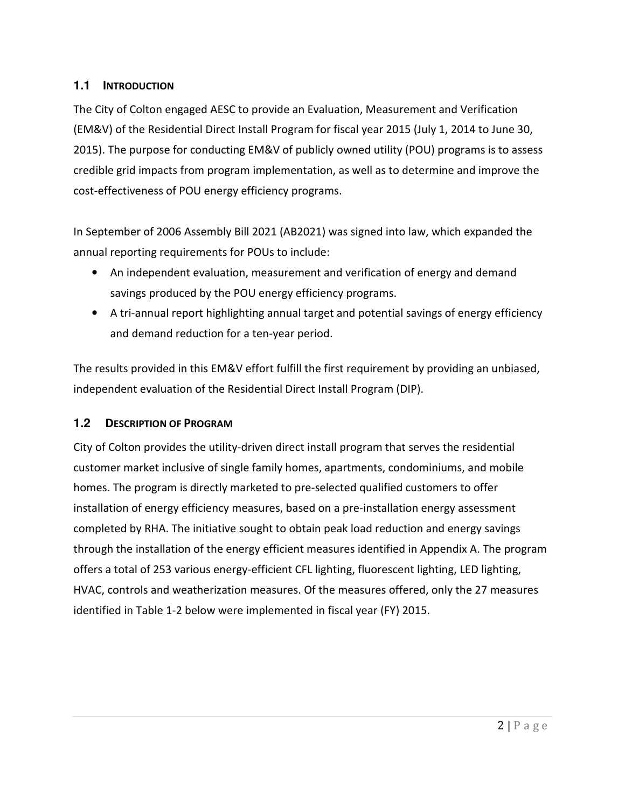#### **1.1 INTRODUCTION**

The City of Colton engaged AESC to provide an Evaluation, Measurement and Verification (EM&V) of the Residential Direct Install Program for fiscal year 2015 (July 1, 2014 to June 30, 2015). The purpose for conducting EM&V of publicly owned utility (POU) programs is to assess credible grid impacts from program implementation, as well as to determine and improve the cost-effectiveness of POU energy efficiency programs.

In September of 2006 Assembly Bill 2021 (AB2021) was signed into law, which expanded the annual reporting requirements for POUs to include:

- An independent evaluation, measurement and verification of energy and demand savings produced by the POU energy efficiency programs.
- A tri-annual report highlighting annual target and potential savings of energy efficiency and demand reduction for a ten-year period.

The results provided in this EM&V effort fulfill the first requirement by providing an unbiased, independent evaluation of the Residential Direct Install Program (DIP).

#### **1.2 DESCRIPTION OF PROGRAM**

City of Colton provides the utility-driven direct install program that serves the residential customer market inclusive of single family homes, apartments, condominiums, and mobile homes. The program is directly marketed to pre-selected qualified customers to offer installation of energy efficiency measures, based on a pre-installation energy assessment completed by RHA. The initiative sought to obtain peak load reduction and energy savings through the installation of the energy efficient measures identified in Appendix A. The program offers a total of 253 various energy-efficient CFL lighting, fluorescent lighting, LED lighting, HVAC, controls and weatherization measures. Of the measures offered, only the 27 measures identified in Table 1-2 below were implemented in fiscal year (FY) 2015.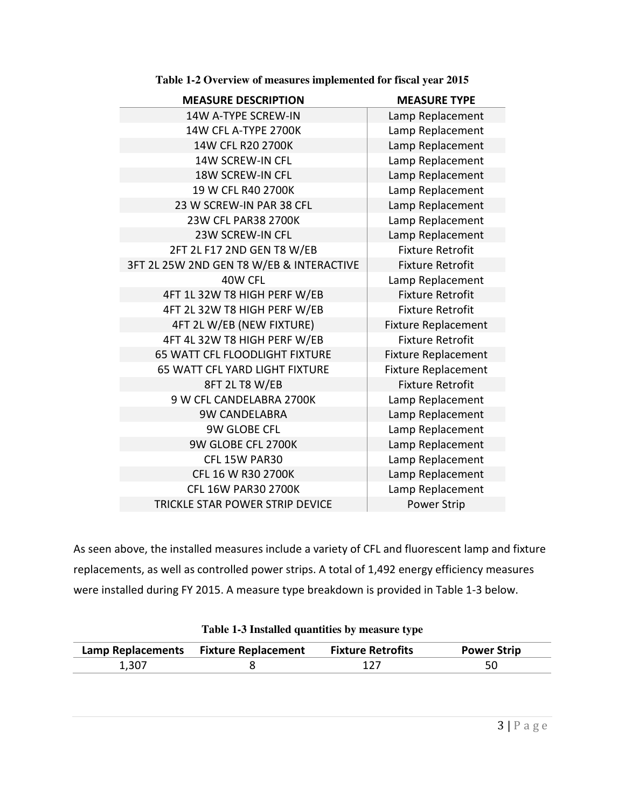| <b>MEASURE DESCRIPTION</b>               | <b>MEASURE TYPE</b>        |
|------------------------------------------|----------------------------|
| 14W A-TYPE SCREW-IN                      | Lamp Replacement           |
| 14W CFL A-TYPE 2700K                     | Lamp Replacement           |
| 14W CFL R20 2700K                        | Lamp Replacement           |
| 14W SCREW-IN CFL                         | Lamp Replacement           |
| 18W SCREW-IN CFL                         | Lamp Replacement           |
| 19 W CFL R40 2700K                       | Lamp Replacement           |
| 23 W SCREW-IN PAR 38 CFL                 | Lamp Replacement           |
| 23W CFL PAR38 2700K                      | Lamp Replacement           |
| <b>23W SCREW-IN CFL</b>                  | Lamp Replacement           |
| 2FT 2L F17 2ND GEN T8 W/EB               | <b>Fixture Retrofit</b>    |
| 3FT 2L 25W 2ND GEN T8 W/EB & INTERACTIVE | <b>Fixture Retrofit</b>    |
| 40W CFL                                  | Lamp Replacement           |
| 4FT 1L 32W T8 HIGH PERF W/EB             | <b>Fixture Retrofit</b>    |
| 4FT 2L 32W T8 HIGH PERF W/EB             | <b>Fixture Retrofit</b>    |
| 4FT 2L W/EB (NEW FIXTURE)                | <b>Fixture Replacement</b> |
| 4FT 4L 32W T8 HIGH PERF W/EB             | <b>Fixture Retrofit</b>    |
| <b>65 WATT CFL FLOODLIGHT FIXTURE</b>    | <b>Fixture Replacement</b> |
| 65 WATT CFL YARD LIGHT FIXTURE           | <b>Fixture Replacement</b> |
| 8FT 2L T8 W/EB                           | <b>Fixture Retrofit</b>    |
| 9 W CFL CANDELABRA 2700K                 | Lamp Replacement           |
| <b>9W CANDELABRA</b>                     | Lamp Replacement           |
| 9W GLOBE CFL                             | Lamp Replacement           |
| 9W GLOBE CFL 2700K                       | Lamp Replacement           |
| CFL 15W PAR30                            | Lamp Replacement           |
| CFL 16 W R30 2700K                       | Lamp Replacement           |
| <b>CFL 16W PAR30 2700K</b>               | Lamp Replacement           |
| TRICKLE STAR POWER STRIP DEVICE          | <b>Power Strip</b>         |

**Table 1-2 Overview of measures implemented for fiscal year 2015** 

As seen above, the installed measures include a variety of CFL and fluorescent lamp and fixture replacements, as well as controlled power strips. A total of 1,492 energy efficiency measures were installed during FY 2015. A measure type breakdown is provided in Table 1-3 below.

|       | Lamp Replacements Fixture Replacement Fixture Retrofits | <b>Power Strip</b> |
|-------|---------------------------------------------------------|--------------------|
| 1,307 |                                                         | 50                 |

|  |  |  |  | Table 1-3 Installed quantities by measure type |  |
|--|--|--|--|------------------------------------------------|--|
|--|--|--|--|------------------------------------------------|--|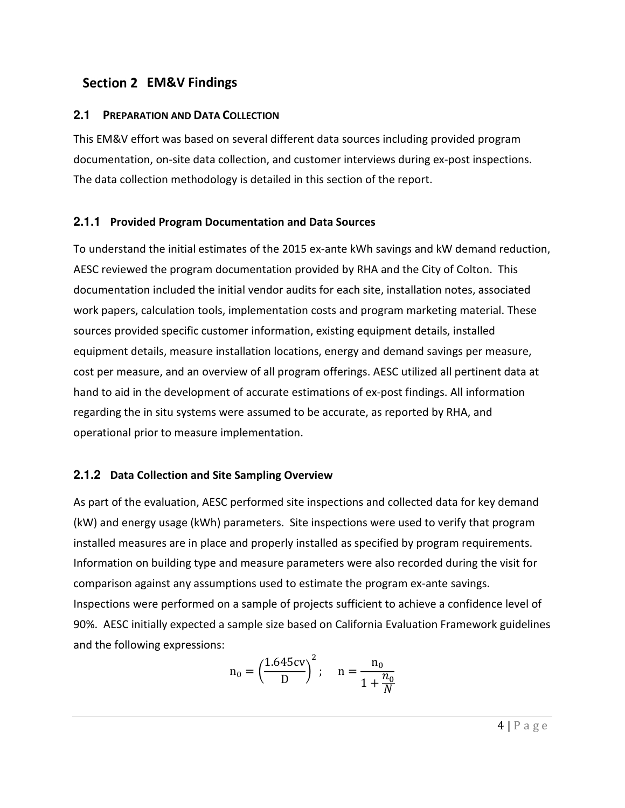#### **EM&V Findings**

#### **2.1 PREPARATION AND DATA COLLECTION**

This EM&V effort was based on several different data sources including provided program documentation, on-site data collection, and customer interviews during ex-post inspections. The data collection methodology is detailed in this section of the report.

#### **2.1.1 Provided Program Documentation and Data Sources**

To understand the initial estimates of the 2015 ex-ante kWh savings and kW demand reduction, AESC reviewed the program documentation provided by RHA and the City of Colton. This documentation included the initial vendor audits for each site, installation notes, associated work papers, calculation tools, implementation costs and program marketing material. These sources provided specific customer information, existing equipment details, installed equipment details, measure installation locations, energy and demand savings per measure, cost per measure, and an overview of all program offerings. AESC utilized all pertinent data at hand to aid in the development of accurate estimations of ex-post findings. All information regarding the in situ systems were assumed to be accurate, as reported by RHA, and operational prior to measure implementation.

#### **2.1.2 Data Collection and Site Sampling Overview**

As part of the evaluation, AESC performed site inspections and collected data for key demand (kW) and energy usage (kWh) parameters. Site inspections were used to verify that program installed measures are in place and properly installed as specified by program requirements. Information on building type and measure parameters were also recorded during the visit for comparison against any assumptions used to estimate the program ex-ante savings. Inspections were performed on a sample of projects sufficient to achieve a confidence level of 90%. AESC initially expected a sample size based on California Evaluation Framework guidelines and the following expressions:

$$
n_0 = \left(\frac{1.645cv}{D}\right)^2; \quad n = \frac{n_0}{1 + \frac{n_0}{N}}
$$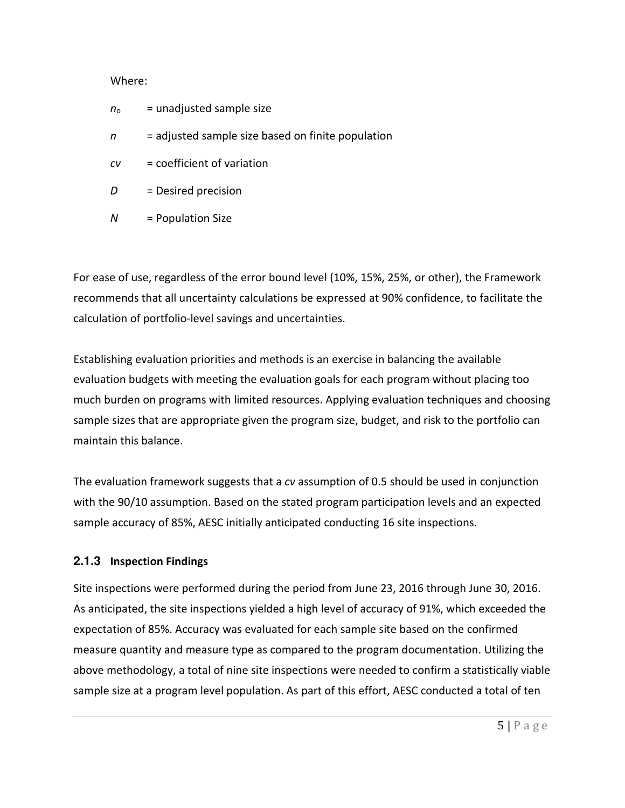#### Where:

- $n_0$  = unadjusted sample size
- *n* = adjusted sample size based on finite population
- *cv* = coefficient of variation
- *D* = Desired precision
- *N* = Population Size

For ease of use, regardless of the error bound level (10%, 15%, 25%, or other), the Framework recommends that all uncertainty calculations be expressed at 90% confidence, to facilitate the calculation of portfolio-level savings and uncertainties.

Establishing evaluation priorities and methods is an exercise in balancing the available evaluation budgets with meeting the evaluation goals for each program without placing too much burden on programs with limited resources. Applying evaluation techniques and choosing sample sizes that are appropriate given the program size, budget, and risk to the portfolio can maintain this balance.

The evaluation framework suggests that a *cv* assumption of 0.5 should be used in conjunction with the 90/10 assumption. Based on the stated program participation levels and an expected sample accuracy of 85%, AESC initially anticipated conducting 16 site inspections.

#### **2.1.3 Inspection Findings**

Site inspections were performed during the period from June 23, 2016 through June 30, 2016. As anticipated, the site inspections yielded a high level of accuracy of 91%, which exceeded the expectation of 85%. Accuracy was evaluated for each sample site based on the confirmed measure quantity and measure type as compared to the program documentation. Utilizing the above methodology, a total of nine site inspections were needed to confirm a statistically viable sample size at a program level population. As part of this effort, AESC conducted a total of ten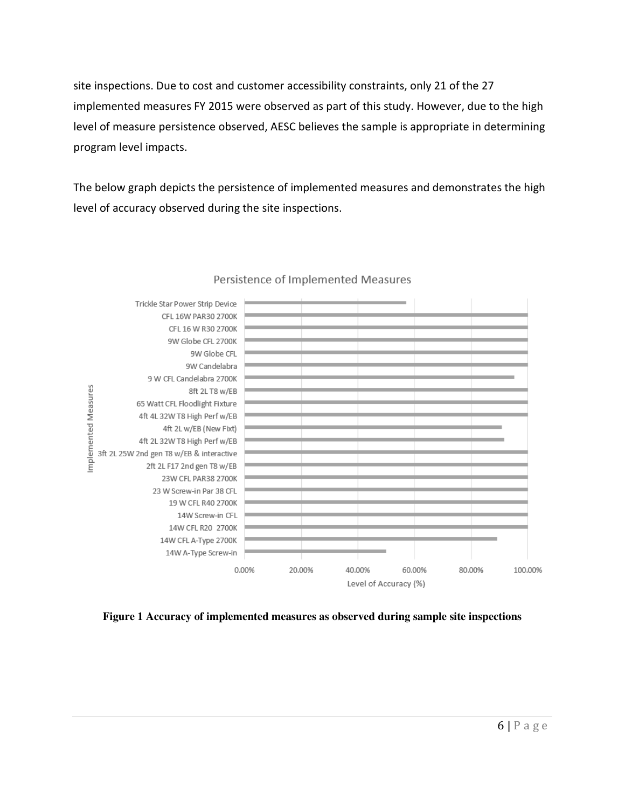site inspections. Due to cost and customer accessibility constraints, only 21 of the 27 implemented measures FY 2015 were observed as part of this study. However, due to the high level of measure persistence observed, AESC believes the sample is appropriate in determining program level impacts.

The below graph depicts the persistence of implemented measures and demonstrates the high level of accuracy observed during the site inspections.



#### Persistence of Implemented Measures

**Figure 1 Accuracy of implemented measures as observed during sample site inspections**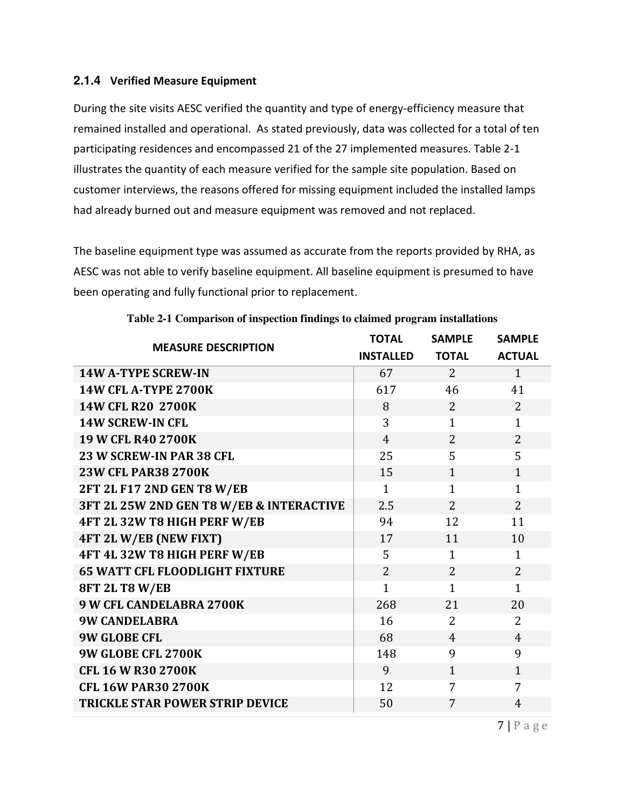#### **2.1.4 Verified Measure Equipment**

During the site visits AESC verified the quantity and type of energy-efficiency measure that remained installed and operational. As stated previously, data was collected for a total of ten participating residences and encompassed 21 of the 27 implemented measures. Table 2-1 illustrates the quantity of each measure verified for the sample site population. Based on customer interviews, the reasons offered for missing equipment included the installed lamps had already burned out and measure equipment was removed and not replaced.

The baseline equipment type was assumed as accurate from the reports provided by RHA, as AESC was not able to verify baseline equipment. All baseline equipment is presumed to have been operating and fully functional prior to replacement.

| <b>MEASURE DESCRIPTION</b>               | <b>TOTAL</b>     | <b>SAMPLE</b>  | <b>SAMPLE</b>  |
|------------------------------------------|------------------|----------------|----------------|
|                                          | <b>INSTALLED</b> | <b>TOTAL</b>   | <b>ACTUAL</b>  |
| <b>14W A-TYPE SCREW-IN</b>               | 67               | $\overline{2}$ | $\mathbf{1}$   |
| <b>14W CFL A-TYPE 2700K</b>              | 617              | 46             | 41             |
| 14W CFL R20 2700K                        | 8                | $\overline{2}$ | $\overline{2}$ |
| <b>14W SCREW-IN CFL</b>                  | 3                | $\mathbf{1}$   | $\mathbf{1}$   |
| 19 W CFL R40 2700K                       | $\overline{4}$   | $\overline{2}$ | $\overline{2}$ |
| 23 W SCREW-IN PAR 38 CFL                 | 25               | 5              | 5              |
| <b>23W CFL PAR38 2700K</b>               | 15               | $\mathbf{1}$   | $\mathbf{1}$   |
| 2FT 2L F17 2ND GEN T8 W/EB               | $\mathbf{1}$     | $\mathbf{1}$   | $\mathbf{1}$   |
| 3FT 2L 25W 2ND GEN T8 W/EB & INTERACTIVE | 2.5              | $\overline{2}$ | $\overline{2}$ |
| 4FT 2L 32W T8 HIGH PERF W/EB             | 94               | 12             | 11             |
| 4FT 2L W/EB (NEW FIXT)                   | 17               | 11             | 10             |
| 4FT 4L 32W T8 HIGH PERF W/EB             | 5                | $\mathbf{1}$   | $\mathbf{1}$   |
| <b>65 WATT CFL FLOODLIGHT FIXTURE</b>    | $\overline{2}$   | $\overline{2}$ | $\overline{2}$ |
| <b>8FT 2L T8 W/EB</b>                    | $\mathbf{1}$     | $\overline{1}$ | $\mathbf{1}$   |
| 9 W CFL CANDELABRA 2700K                 | 268              | 21             | 20             |
| <b>9W CANDELABRA</b>                     | 16               | 2              | $\overline{2}$ |
| <b>9W GLOBE CFL</b>                      | 68               | $\overline{4}$ | $\overline{4}$ |
| 9W GLOBE CFL 2700K                       | 148              | 9              | 9              |
| <b>CFL 16 W R30 2700K</b>                | 9                | $\mathbf{1}$   | $\mathbf{1}$   |
| <b>CFL 16W PAR30 2700K</b>               | 12               | 7              | 7              |
| <b>TRICKLE STAR POWER STRIP DEVICE</b>   | 50               | 7              | $\overline{4}$ |

**Table 2-1 Comparison of inspection findings to claimed program installations** 

 $7 | P \text{ a g e}$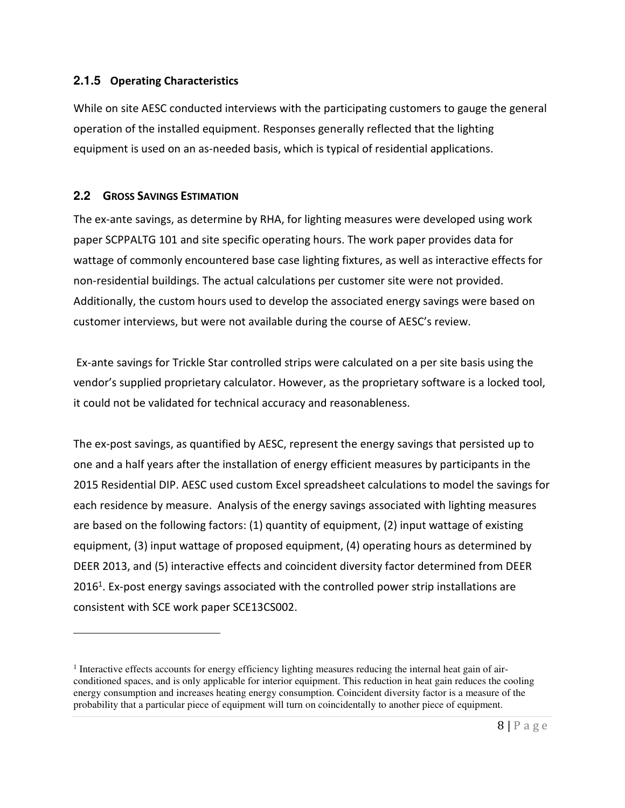#### **2.1.5 Operating Characteristics**

While on site AESC conducted interviews with the participating customers to gauge the general operation of the installed equipment. Responses generally reflected that the lighting equipment is used on an as-needed basis, which is typical of residential applications.

#### **2.2 GROSS SAVINGS ESTIMATION**

 $\overline{a}$ 

The ex-ante savings, as determine by RHA, for lighting measures were developed using work paper SCPPALTG 101 and site specific operating hours. The work paper provides data for wattage of commonly encountered base case lighting fixtures, as well as interactive effects for non-residential buildings. The actual calculations per customer site were not provided. Additionally, the custom hours used to develop the associated energy savings were based on customer interviews, but were not available during the course of AESC's review.

 Ex-ante savings for Trickle Star controlled strips were calculated on a per site basis using the vendor's supplied proprietary calculator. However, as the proprietary software is a locked tool, it could not be validated for technical accuracy and reasonableness.

The ex-post savings, as quantified by AESC, represent the energy savings that persisted up to one and a half years after the installation of energy efficient measures by participants in the 2015 Residential DIP. AESC used custom Excel spreadsheet calculations to model the savings for each residence by measure. Analysis of the energy savings associated with lighting measures are based on the following factors: (1) quantity of equipment, (2) input wattage of existing equipment, (3) input wattage of proposed equipment, (4) operating hours as determined by DEER 2013, and (5) interactive effects and coincident diversity factor determined from DEER  $2016<sup>1</sup>$ . Ex-post energy savings associated with the controlled power strip installations are consistent with SCE work paper SCE13CS002.

<sup>&</sup>lt;sup>1</sup> Interactive effects accounts for energy efficiency lighting measures reducing the internal heat gain of airconditioned spaces, and is only applicable for interior equipment. This reduction in heat gain reduces the cooling energy consumption and increases heating energy consumption. Coincident diversity factor is a measure of the probability that a particular piece of equipment will turn on coincidentally to another piece of equipment.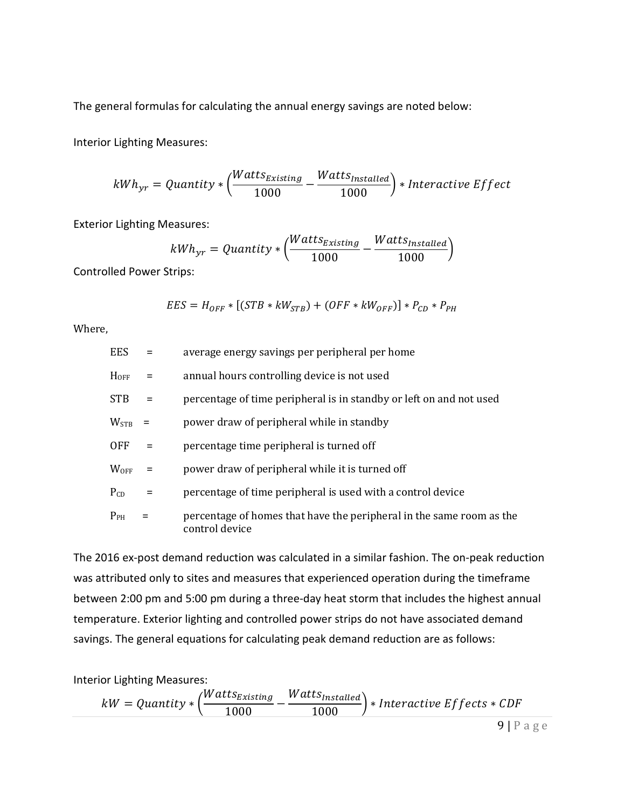The general formulas for calculating the annual energy savings are noted below:

Interior Lighting Measures:

$$
kWh_{yr} = Quantity*\left(\!\frac{Watts_{Existing}}{1000}\!-\!\frac{Watts_{Insteadled}}{1000}\right)*Interactive Effect
$$

Exterior Lighting Measures:

$$
kWh_{yr} = Quantity * \left(\frac{Watts_{Existing}}{1000} - \frac{Watts_{Insteadled}}{1000}\right)
$$

Controlled Power Strips:

$$
EES = H_{OFF} * [(STB * kW_{STB}) + (OFF * kW_{OFF})] * P_{CD} * P_{PH}
$$

Where,

| <b>EES</b>    | $=$      | average energy savings per peripheral per home                                         |
|---------------|----------|----------------------------------------------------------------------------------------|
| $H_{OFF}$     | $\equiv$ | annual hours controlling device is not used                                            |
| STB.          | $=$      | percentage of time peripheral is in standby or left on and not used                    |
| $W_{\rm STB}$ |          | power draw of peripheral while in standby                                              |
| <b>OFF</b>    | $\equiv$ | percentage time peripheral is turned off                                               |
| <b>WOFF</b>   |          | power draw of peripheral while it is turned off                                        |
| $P_{CD}$      | $=$      | percentage of time peripheral is used with a control device                            |
| $P_{PH}$      |          | percentage of homes that have the peripheral in the same room as the<br>control device |

The 2016 ex-post demand reduction was calculated in a similar fashion. The on-peak reduction was attributed only to sites and measures that experienced operation during the timeframe between 2:00 pm and 5:00 pm during a three-day heat storm that includes the highest annual temperature. Exterior lighting and controlled power strips do not have associated demand savings. The general equations for calculating peak demand reduction are as follows:

Interior Lighting Measures:

 $kW = Quantum$ uantity  $*\Big(\frac{Watts_{Existing}}{1000}\Big)$  $\frac{2m\sin\theta}{1000}$  –  $Watts_{Installed}$  $\frac{1000}{1000}$  \* Interactive Effects \* CDF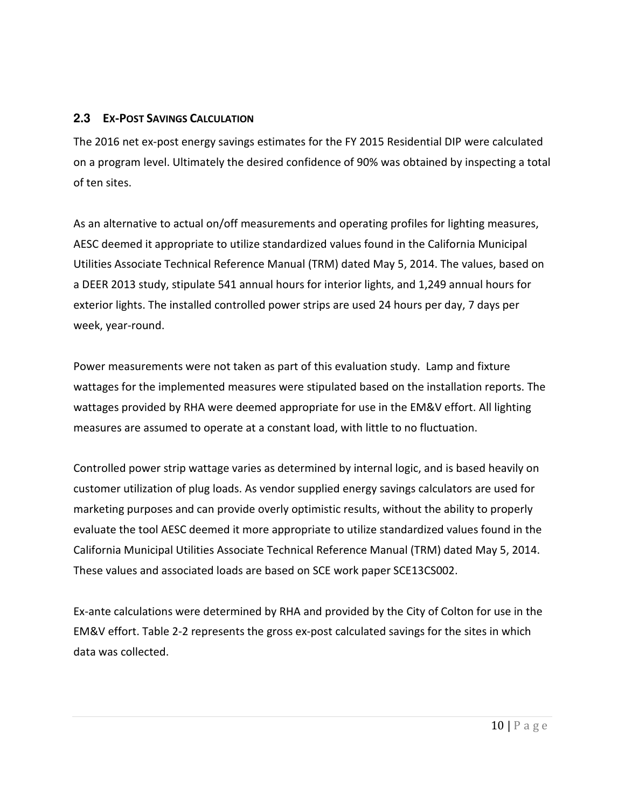#### **2.3 EX-POST SAVINGS CALCULATION**

The 2016 net ex-post energy savings estimates for the FY 2015 Residential DIP were calculated on a program level. Ultimately the desired confidence of 90% was obtained by inspecting a total of ten sites.

As an alternative to actual on/off measurements and operating profiles for lighting measures, AESC deemed it appropriate to utilize standardized values found in the California Municipal Utilities Associate Technical Reference Manual (TRM) dated May 5, 2014. The values, based on a DEER 2013 study, stipulate 541 annual hours for interior lights, and 1,249 annual hours for exterior lights. The installed controlled power strips are used 24 hours per day, 7 days per week, year-round.

Power measurements were not taken as part of this evaluation study. Lamp and fixture wattages for the implemented measures were stipulated based on the installation reports. The wattages provided by RHA were deemed appropriate for use in the EM&V effort. All lighting measures are assumed to operate at a constant load, with little to no fluctuation.

Controlled power strip wattage varies as determined by internal logic, and is based heavily on customer utilization of plug loads. As vendor supplied energy savings calculators are used for marketing purposes and can provide overly optimistic results, without the ability to properly evaluate the tool AESC deemed it more appropriate to utilize standardized values found in the California Municipal Utilities Associate Technical Reference Manual (TRM) dated May 5, 2014. These values and associated loads are based on SCE work paper SCE13CS002.

Ex-ante calculations were determined by RHA and provided by the City of Colton for use in the EM&V effort. Table 2-2 represents the gross ex-post calculated savings for the sites in which data was collected.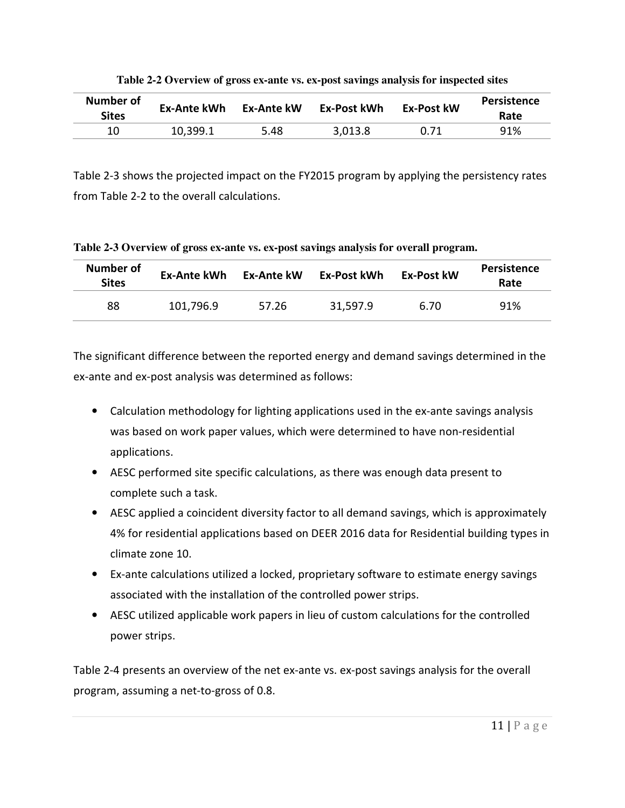| Number of<br><b>Sites</b> | <b>Ex-Ante kWh</b> | <b>Ex-Ante kW</b> | Ex-Post kWh | <b>Ex-Post kW</b> | <b>Persistence</b><br>Rate |
|---------------------------|--------------------|-------------------|-------------|-------------------|----------------------------|
| 10                        | 10,399.1           | 5.48              | 3,013.8     | 0.71              | 91%                        |

**Table 2-2 Overview of gross ex-ante vs. ex-post savings analysis for inspected sites** 

Table 2-3 shows the projected impact on the FY2015 program by applying the persistency rates from Table 2-2 to the overall calculations.

**Table 2-3 Overview of gross ex-ante vs. ex-post savings analysis for overall program.**

| <b>Number of</b><br><b>Sites</b> | Ex-Ante kWh | <b>Ex-Post kW</b><br>Ex-Ante kW<br>Ex-Post kWh |          | Persistence<br>Rate |     |
|----------------------------------|-------------|------------------------------------------------|----------|---------------------|-----|
| 88                               | 101,796.9   | 57.26                                          | 31,597.9 | 6.70                | 91% |

The significant difference between the reported energy and demand savings determined in the ex-ante and ex-post analysis was determined as follows:

- Calculation methodology for lighting applications used in the ex-ante savings analysis was based on work paper values, which were determined to have non-residential applications.
- AESC performed site specific calculations, as there was enough data present to complete such a task.
- AESC applied a coincident diversity factor to all demand savings, which is approximately 4% for residential applications based on DEER 2016 data for Residential building types in climate zone 10.
- Ex-ante calculations utilized a locked, proprietary software to estimate energy savings associated with the installation of the controlled power strips.
- AESC utilized applicable work papers in lieu of custom calculations for the controlled power strips.

Table 2-4 presents an overview of the net ex-ante vs. ex-post savings analysis for the overall program, assuming a net-to-gross of 0.8.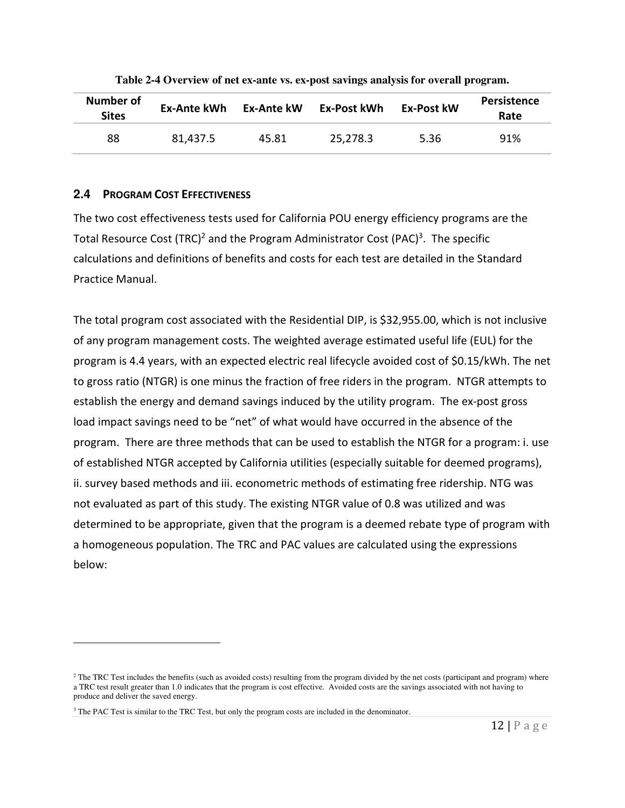| Number of<br><b>Sites</b> | Ex-Ante kWh | Ex-Ante kW | Ex-Post kWh | <b>Ex-Post kW</b> | Persistence<br>Rate |  |
|---------------------------|-------------|------------|-------------|-------------------|---------------------|--|
| 88                        | 81,437.5    | 45.81      | 25,278.3    | 5.36              | 91%                 |  |

**Table 2-4 Overview of net ex-ante vs. ex-post savings analysis for overall program.**

#### **2.4 PROGRAM COST EFFECTIVENESS**

 $\overline{a}$ 

The two cost effectiveness tests used for California POU energy efficiency programs are the Total Resource Cost (TRC)<sup>2</sup> and the Program Administrator Cost (PAC)<sup>3</sup>. The specific calculations and definitions of benefits and costs for each test are detailed in the Standard Practice Manual.

The total program cost associated with the Residential DIP, is \$32,955.00, which is not inclusive of any program management costs. The weighted average estimated useful life (EUL) for the program is 4.4 years, with an expected electric real lifecycle avoided cost of \$0.15/kWh. The net to gross ratio (NTGR) is one minus the fraction of free riders in the program. NTGR attempts to establish the energy and demand savings induced by the utility program. The ex-post gross load impact savings need to be "net" of what would have occurred in the absence of the program. There are three methods that can be used to establish the NTGR for a program: i. use of established NTGR accepted by California utilities (especially suitable for deemed programs), ii. survey based methods and iii. econometric methods of estimating free ridership. NTG was not evaluated as part of this study. The existing NTGR value of 0.8 was utilized and was determined to be appropriate, given that the program is a deemed rebate type of program with a homogeneous population. The TRC and PAC values are calculated using the expressions below:

<sup>&</sup>lt;sup>2</sup> The TRC Test includes the benefits (such as avoided costs) resulting from the program divided by the net costs (participant and program) where a TRC test result greater than 1.0 indicates that the program is cost effective. Avoided costs are the savings associated with not having to produce and deliver the saved energy.

<sup>&</sup>lt;sup>3</sup> The PAC Test is similar to the TRC Test, but only the program costs are included in the denominator.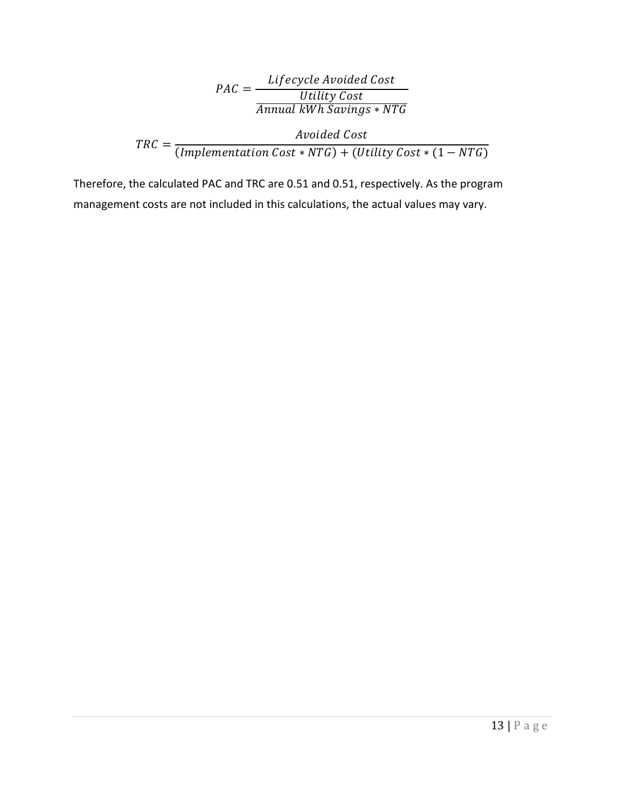$$
PAC = \frac{Liferycle \text{ Avoided Cost}}{Utility \text{ Cost}}
$$
\n
$$
TRC = \frac{Avoided \text{ Cost}}{(Implementation \text{ Cost} * NTG)}
$$
\n
$$
TRC = \frac{Avoided \text{ Cost}}{(Implementation \text{ Cost} * NTG) + (Utility \text{ Cost} * (1 - NTG))}
$$

Therefore, the calculated PAC and TRC are 0.51 and 0.51, respectively. As the program management costs are not included in this calculations, the actual values may vary.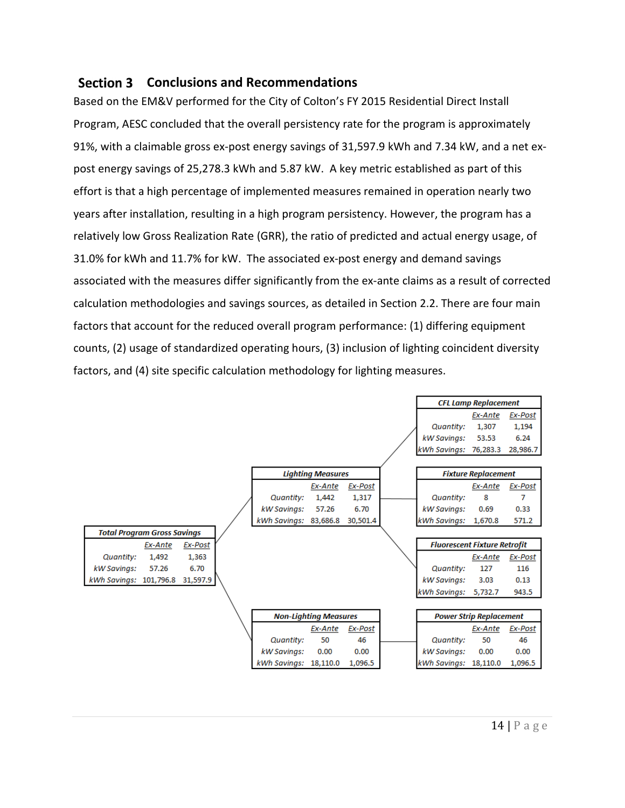#### **Section 3 Conclusions and Recommendations**

Based on the EM&V performed for the City of Colton's FY 2015 Residential Direct Install Program, AESC concluded that the overall persistency rate for the program is approximately 91%, with a claimable gross ex-post energy savings of 31,597.9 kWh and 7.34 kW, and a net expost energy savings of 25,278.3 kWh and 5.87 kW. A key metric established as part of this effort is that a high percentage of implemented measures remained in operation nearly two years after installation, resulting in a high program persistency. However, the program has a relatively low Gross Realization Rate (GRR), the ratio of predicted and actual energy usage, of 31.0% for kWh and 11.7% for kW. The associated ex-post energy and demand savings associated with the measures differ significantly from the ex-ante claims as a result of corrected calculation methodologies and savings sources, as detailed in Section 2.2. There are four main factors that account for the reduced overall program performance: (1) differing equipment counts, (2) usage of standardized operating hours, (3) inclusion of lighting coincident diversity factors, and (4) site specific calculation methodology for lighting measures.

|                                    |                       |                              |          |                                     | <b>CFL Lamp Replacement</b>    |          |
|------------------------------------|-----------------------|------------------------------|----------|-------------------------------------|--------------------------------|----------|
|                                    |                       |                              |          |                                     | Ex-Ante                        | Ex-Post  |
|                                    |                       |                              |          | <b>Quantity:</b>                    | 1,307                          | 1,194    |
|                                    |                       |                              |          | kW Savings:                         | 53.53                          | 6.24     |
|                                    |                       |                              |          | kWh Savings: 76,283.3               |                                | 28,986.7 |
|                                    |                       |                              |          |                                     |                                |          |
|                                    |                       | <b>Lighting Measures</b>     |          |                                     | <b>Fixture Replacement</b>     |          |
|                                    |                       | Ex-Ante                      | Ex-Post  |                                     | Ex-Ante                        | Ex-Post  |
|                                    | <b>Quantity:</b>      | 1,442                        | 1,317    | <b>Quantity:</b>                    | 8                              | 7        |
|                                    | kW Savings:           | 57.26                        | 6.70     | kW Savings:                         | 0.69                           | 0.33     |
|                                    | kWh Savings: 83,686.8 |                              | 30,501.4 | kWh Savings:                        | 1,670.8                        | 571.2    |
| <b>Total Program Gross Savings</b> |                       |                              |          |                                     |                                |          |
| Ex-Post<br>Ex-Ante                 |                       |                              |          | <b>Fluorescent Fixture Retrofit</b> |                                |          |
| 1,492<br>1,363<br><b>Quantity:</b> |                       |                              |          |                                     | Ex-Ante                        | Ex-Post  |
| 57.26<br>6.70<br>kW Savings:       |                       |                              |          | <b>Quantity:</b>                    | 127                            | 116      |
| kWh Savings: 101,796.8<br>31,597.9 |                       |                              |          | kW Savings:                         | 3.03                           | 0.13     |
|                                    |                       |                              |          | kWh Savings: 5,732.7                |                                | 943.5    |
|                                    |                       |                              |          |                                     |                                |          |
|                                    |                       | <b>Non-Lighting Measures</b> |          |                                     | <b>Power Strip Replacement</b> |          |
|                                    |                       | Ex-Ante                      | Ex-Post  |                                     | Ex-Ante                        | Ex-Post  |
|                                    | Quantity:             | 50                           | 46       | <b>Quantity:</b>                    | 50                             | 46       |
|                                    | kW Savings:           | 0.00                         | 0.00     | kW Savings:                         | 0.00                           | 0.00     |
|                                    | kWh Savings: 18,110.0 |                              | 1,096.5  | kWh Savings: 18,110.0               |                                | 1,096.5  |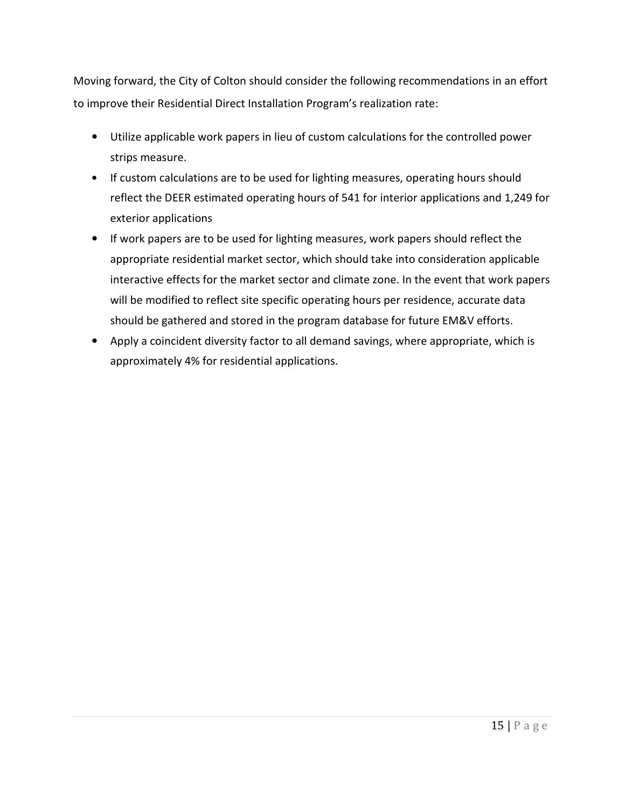Moving forward, the City of Colton should consider the following recommendations in an effort to improve their Residential Direct Installation Program's realization rate:

- Utilize applicable work papers in lieu of custom calculations for the controlled power strips measure.
- If custom calculations are to be used for lighting measures, operating hours should reflect the DEER estimated operating hours of 541 for interior applications and 1,249 for exterior applications
- If work papers are to be used for lighting measures, work papers should reflect the appropriate residential market sector, which should take into consideration applicable interactive effects for the market sector and climate zone. In the event that work papers will be modified to reflect site specific operating hours per residence, accurate data should be gathered and stored in the program database for future EM&V efforts.
- Apply a coincident diversity factor to all demand savings, where appropriate, which is approximately 4% for residential applications.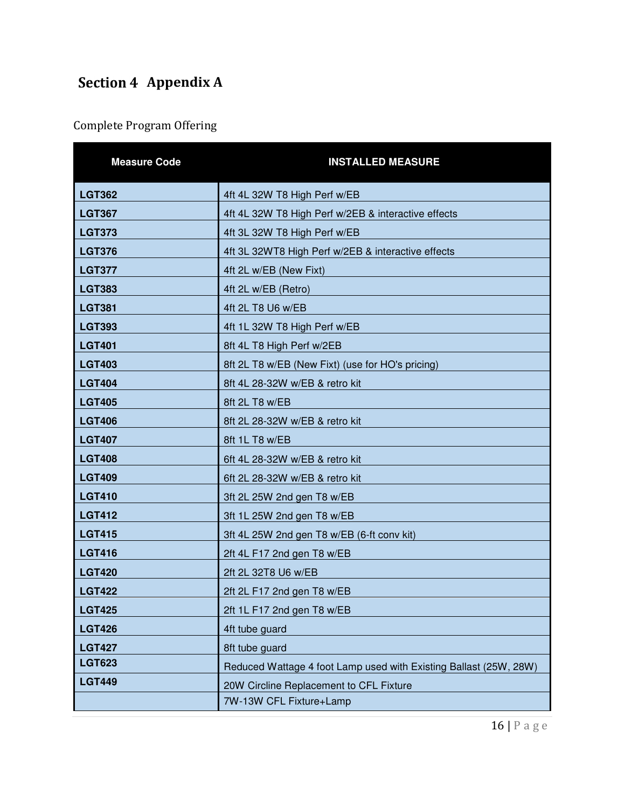## **Section 4 Appendix A**

## Complete Program Offering

| <b>Measure Code</b> | <b>INSTALLED MEASURE</b>                                          |
|---------------------|-------------------------------------------------------------------|
| <b>LGT362</b>       | 4ft 4L 32W T8 High Perf w/EB                                      |
| <b>LGT367</b>       | 4ft 4L 32W T8 High Perf w/2EB & interactive effects               |
| <b>LGT373</b>       | 4ft 3L 32W T8 High Perf w/EB                                      |
| <b>LGT376</b>       | 4ft 3L 32WT8 High Perf w/2EB & interactive effects                |
| <b>LGT377</b>       | 4ft 2L w/EB (New Fixt)                                            |
| <b>LGT383</b>       | 4ft 2L w/EB (Retro)                                               |
| <b>LGT381</b>       | 4ft 2L T8 U6 w/EB                                                 |
| <b>LGT393</b>       | 4ft 1L 32W T8 High Perf w/EB                                      |
| <b>LGT401</b>       | 8ft 4L T8 High Perf w/2EB                                         |
| <b>LGT403</b>       | 8ft 2L T8 w/EB (New Fixt) (use for HO's pricing)                  |
| <b>LGT404</b>       | 8ft 4L 28-32W w/EB & retro kit                                    |
| <b>LGT405</b>       | 8ft 2L T8 w/EB                                                    |
| <b>LGT406</b>       | 8ft 2L 28-32W w/EB & retro kit                                    |
| <b>LGT407</b>       | 8ft 1L T8 w/EB                                                    |
| <b>LGT408</b>       | 6ft 4L 28-32W w/EB & retro kit                                    |
| <b>LGT409</b>       | 6ft 2L 28-32W w/EB & retro kit                                    |
| <b>LGT410</b>       | 3ft 2L 25W 2nd gen T8 w/EB                                        |
| <b>LGT412</b>       | 3ft 1L 25W 2nd gen T8 w/EB                                        |
| <b>LGT415</b>       | 3ft 4L 25W 2nd gen T8 w/EB (6-ft conv kit)                        |
| <b>LGT416</b>       | 2ft 4L F17 2nd gen T8 w/EB                                        |
| <b>LGT420</b>       | 2ft 2L 32T8 U6 w/EB                                               |
| <b>LGT422</b>       | 2ft 2L F17 2nd gen T8 w/EB                                        |
| <b>LGT425</b>       | 2ft 1L F17 2nd gen T8 w/EB                                        |
| <b>LGT426</b>       | 4ft tube guard                                                    |
| <b>LGT427</b>       | 8ft tube guard                                                    |
| <b>LGT623</b>       | Reduced Wattage 4 foot Lamp used with Existing Ballast (25W, 28W) |
| <b>LGT449</b>       | 20W Circline Replacement to CFL Fixture                           |
|                     | 7W-13W CFL Fixture+Lamp                                           |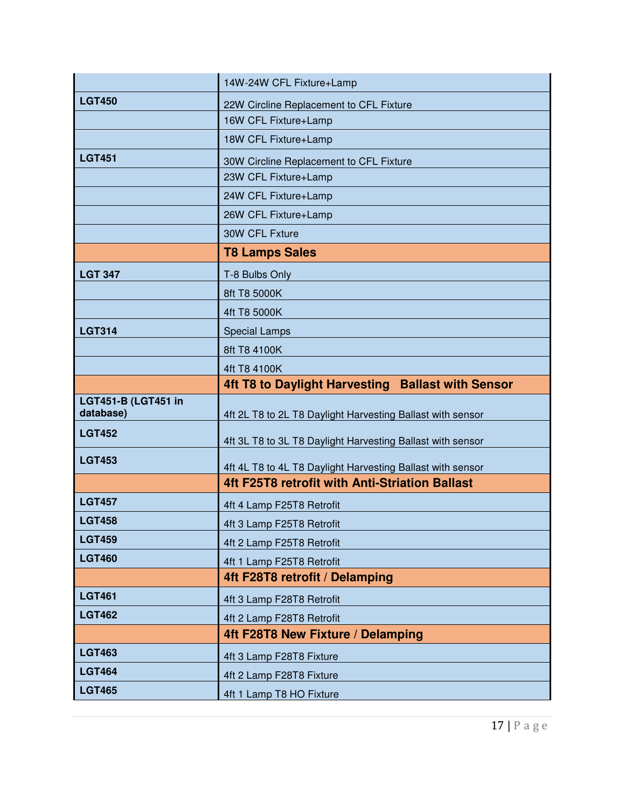|                                         | 14W-24W CFL Fixture+Lamp                                   |
|-----------------------------------------|------------------------------------------------------------|
| <b>LGT450</b>                           | 22W Circline Replacement to CFL Fixture                    |
|                                         | 16W CFL Fixture+Lamp                                       |
|                                         | 18W CFL Fixture+Lamp                                       |
| <b>LGT451</b>                           | 30W Circline Replacement to CFL Fixture                    |
|                                         | 23W CFL Fixture+Lamp                                       |
|                                         | 24W CFL Fixture+Lamp                                       |
|                                         | 26W CFL Fixture+Lamp                                       |
|                                         | 30W CFL Fxture                                             |
|                                         | <b>T8 Lamps Sales</b>                                      |
| <b>LGT 347</b>                          | T-8 Bulbs Only                                             |
|                                         | 8ft T8 5000K                                               |
|                                         | 4ft T8 5000K                                               |
| <b>LGT314</b>                           | <b>Special Lamps</b>                                       |
|                                         | 8ft T8 4100K                                               |
|                                         | 4ft T8 4100K                                               |
|                                         | 4ft T8 to Daylight Harvesting Ballast with Sensor          |
|                                         |                                                            |
| <b>LGT451-B (LGT451 in</b><br>database) | 4ft 2L T8 to 2L T8 Daylight Harvesting Ballast with sensor |
| <b>LGT452</b>                           | 4ft 3L T8 to 3L T8 Daylight Harvesting Ballast with sensor |
| <b>LGT453</b>                           | 4ft 4L T8 to 4L T8 Daylight Harvesting Ballast with sensor |
|                                         | 4ft F25T8 retrofit with Anti-Striation Ballast             |
| <b>LGT457</b>                           | 4ft 4 Lamp F25T8 Retrofit                                  |
| <b>LGT458</b>                           | 4ft 3 Lamp F25T8 Retrofit                                  |
| <b>LGT459</b>                           | 4ft 2 Lamp F25T8 Retrofit                                  |
| <b>LGT460</b>                           | 4ft 1 Lamp F25T8 Retrofit                                  |
|                                         | 4ft F28T8 retrofit / Delamping                             |
| <b>LGT461</b>                           | 4ft 3 Lamp F28T8 Retrofit                                  |
| <b>LGT462</b>                           | 4ft 2 Lamp F28T8 Retrofit                                  |
|                                         | 4ft F28T8 New Fixture / Delamping                          |
| <b>LGT463</b>                           | 4ft 3 Lamp F28T8 Fixture                                   |
| <b>LGT464</b>                           | 4ft 2 Lamp F28T8 Fixture                                   |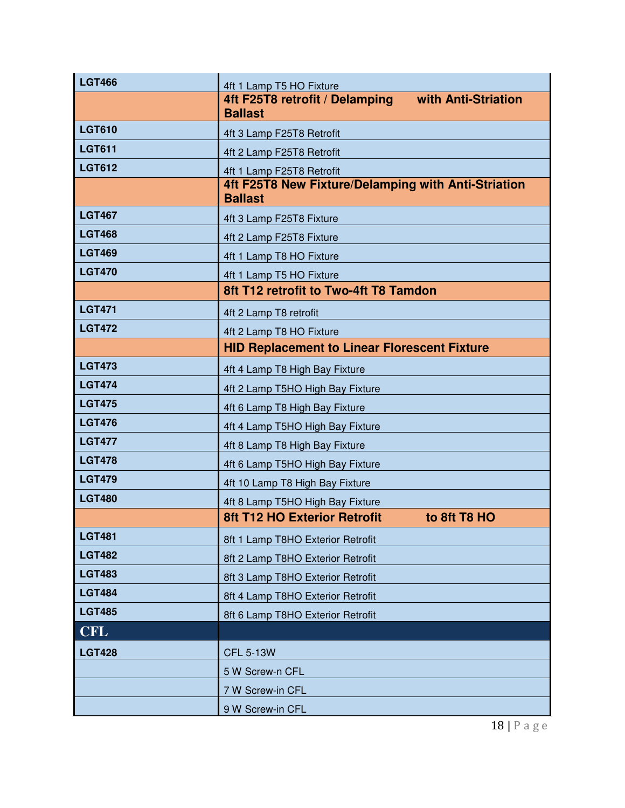| <b>LGT466</b> | 4ft 1 Lamp T5 HO Fixture                                              |                     |
|---------------|-----------------------------------------------------------------------|---------------------|
|               | 4ft F25T8 retrofit / Delamping                                        | with Anti-Striation |
| <b>LGT610</b> | <b>Ballast</b>                                                        |                     |
|               | 4ft 3 Lamp F25T8 Retrofit                                             |                     |
| <b>LGT611</b> | 4ft 2 Lamp F25T8 Retrofit                                             |                     |
| <b>LGT612</b> | 4ft 1 Lamp F25T8 Retrofit                                             |                     |
|               | 4ft F25T8 New Fixture/Delamping with Anti-Striation<br><b>Ballast</b> |                     |
| <b>LGT467</b> | 4ft 3 Lamp F25T8 Fixture                                              |                     |
| <b>LGT468</b> | 4ft 2 Lamp F25T8 Fixture                                              |                     |
| <b>LGT469</b> | 4ft 1 Lamp T8 HO Fixture                                              |                     |
| <b>LGT470</b> | 4ft 1 Lamp T5 HO Fixture                                              |                     |
|               | 8ft T12 retrofit to Two-4ft T8 Tamdon                                 |                     |
| <b>LGT471</b> | 4ft 2 Lamp T8 retrofit                                                |                     |
| <b>LGT472</b> | 4ft 2 Lamp T8 HO Fixture                                              |                     |
|               | <b>HID Replacement to Linear Florescent Fixture</b>                   |                     |
| <b>LGT473</b> | 4ft 4 Lamp T8 High Bay Fixture                                        |                     |
| <b>LGT474</b> | 4ft 2 Lamp T5HO High Bay Fixture                                      |                     |
| <b>LGT475</b> | 4ft 6 Lamp T8 High Bay Fixture                                        |                     |
| <b>LGT476</b> | 4ft 4 Lamp T5HO High Bay Fixture                                      |                     |
| <b>LGT477</b> | 4ft 8 Lamp T8 High Bay Fixture                                        |                     |
| <b>LGT478</b> | 4ft 6 Lamp T5HO High Bay Fixture                                      |                     |
| <b>LGT479</b> | 4ft 10 Lamp T8 High Bay Fixture                                       |                     |
| <b>LGT480</b> | 4ft 8 Lamp T5HO High Bay Fixture                                      |                     |
|               | <b>8ft T12 HO Exterior Retrofit</b>                                   | to 8ft T8 HO        |
| <b>LGT481</b> | 8ft 1 Lamp T8HO Exterior Retrofit                                     |                     |
| <b>LGT482</b> | 8ft 2 Lamp T8HO Exterior Retrofit                                     |                     |
| <b>LGT483</b> | 8ft 3 Lamp T8HO Exterior Retrofit                                     |                     |
| <b>LGT484</b> | 8ft 4 Lamp T8HO Exterior Retrofit                                     |                     |
| <b>LGT485</b> | 8ft 6 Lamp T8HO Exterior Retrofit                                     |                     |
| <b>CFL</b>    |                                                                       |                     |
| <b>LGT428</b> | <b>CFL 5-13W</b>                                                      |                     |
|               | 5 W Screw-n CFL                                                       |                     |
|               | 7 W Screw-in CFL                                                      |                     |
|               | 9 W Screw-in CFL                                                      |                     |

18 | P a g e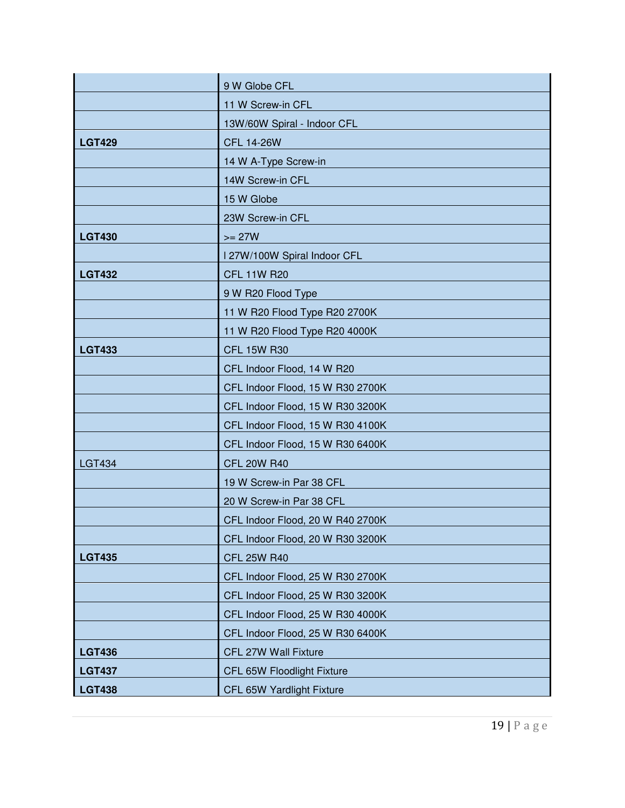|               | 9 W Globe CFL                    |
|---------------|----------------------------------|
|               | 11 W Screw-in CFL                |
|               | 13W/60W Spiral - Indoor CFL      |
| <b>LGT429</b> | <b>CFL 14-26W</b>                |
|               | 14 W A-Type Screw-in             |
|               | 14W Screw-in CFL                 |
|               | 15 W Globe                       |
|               | 23W Screw-in CFL                 |
| <b>LGT430</b> | $>= 27W$                         |
|               | I 27W/100W Spiral Indoor CFL     |
| <b>LGT432</b> | <b>CFL 11W R20</b>               |
|               | 9 W R20 Flood Type               |
|               | 11 W R20 Flood Type R20 2700K    |
|               | 11 W R20 Flood Type R20 4000K    |
| <b>LGT433</b> | <b>CFL 15W R30</b>               |
|               | CFL Indoor Flood, 14 W R20       |
|               | CFL Indoor Flood, 15 W R30 2700K |
|               | CFL Indoor Flood, 15 W R30 3200K |
|               | CFL Indoor Flood, 15 W R30 4100K |
|               | CFL Indoor Flood, 15 W R30 6400K |
| <b>LGT434</b> | <b>CFL 20W R40</b>               |
|               | 19 W Screw-in Par 38 CFL         |
|               | 20 W Screw-in Par 38 CFL         |
|               | CFL Indoor Flood, 20 W R40 2700K |
|               | CFL Indoor Flood, 20 W R30 3200K |
| <b>LGT435</b> | <b>CFL 25W R40</b>               |
|               | CFL Indoor Flood, 25 W R30 2700K |
|               | CFL Indoor Flood, 25 W R30 3200K |
|               | CFL Indoor Flood, 25 W R30 4000K |
|               | CFL Indoor Flood, 25 W R30 6400K |
| <b>LGT436</b> | CFL 27W Wall Fixture             |
| <b>LGT437</b> | CFL 65W Floodlight Fixture       |
| <b>LGT438</b> | CFL 65W Yardlight Fixture        |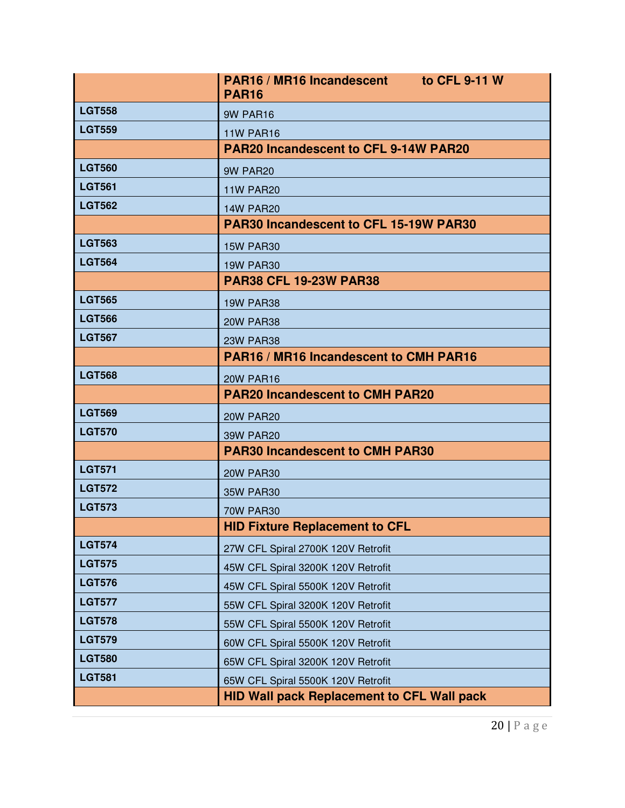|               | PAR16 / MR16 Incandescent to CFL 9-11 W<br><b>PAR16</b> |
|---------------|---------------------------------------------------------|
| <b>LGT558</b> | 9W PAR16                                                |
| <b>LGT559</b> | <b>11W PAR16</b>                                        |
|               | <b>PAR20 Incandescent to CFL 9-14W PAR20</b>            |
| <b>LGT560</b> | 9W PAR20                                                |
| <b>LGT561</b> | <b>11W PAR20</b>                                        |
| <b>LGT562</b> | <b>14W PAR20</b>                                        |
|               | <b>PAR30 Incandescent to CFL 15-19W PAR30</b>           |
| <b>LGT563</b> | <b>15W PAR30</b>                                        |
| <b>LGT564</b> | <b>19W PAR30</b>                                        |
|               | <b>PAR38 CFL 19-23W PAR38</b>                           |
| <b>LGT565</b> | <b>19W PAR38</b>                                        |
| <b>LGT566</b> | <b>20W PAR38</b>                                        |
| <b>LGT567</b> | <b>23W PAR38</b>                                        |
|               | PAR16 / MR16 Incandescent to CMH PAR16                  |
| <b>LGT568</b> | <b>20W PAR16</b>                                        |
|               | <b>PAR20 Incandescent to CMH PAR20</b>                  |
| <b>LGT569</b> | <b>20W PAR20</b>                                        |
| <b>LGT570</b> | <b>39W PAR20</b>                                        |
|               | <b>PAR30 Incandescent to CMH PAR30</b>                  |
| <b>LGT571</b> | <b>20W PAR30</b>                                        |
| <b>LGT572</b> | <b>35W PAR30</b>                                        |
| <b>LGT573</b> | <b>70W PAR30</b>                                        |
|               | <b>HID Fixture Replacement to CFL</b>                   |
| <b>LGT574</b> | 27W CFL Spiral 2700K 120V Retrofit                      |
| <b>LGT575</b> | 45W CFL Spiral 3200K 120V Retrofit                      |
| <b>LGT576</b> | 45W CFL Spiral 5500K 120V Retrofit                      |
| <b>LGT577</b> | 55W CFL Spiral 3200K 120V Retrofit                      |
| <b>LGT578</b> | 55W CFL Spiral 5500K 120V Retrofit                      |
| <b>LGT579</b> | 60W CFL Spiral 5500K 120V Retrofit                      |
| <b>LGT580</b> | 65W CFL Spiral 3200K 120V Retrofit                      |
| <b>LGT581</b> | 65W CFL Spiral 5500K 120V Retrofit                      |
|               | <b>HID Wall pack Replacement to CFL Wall pack</b>       |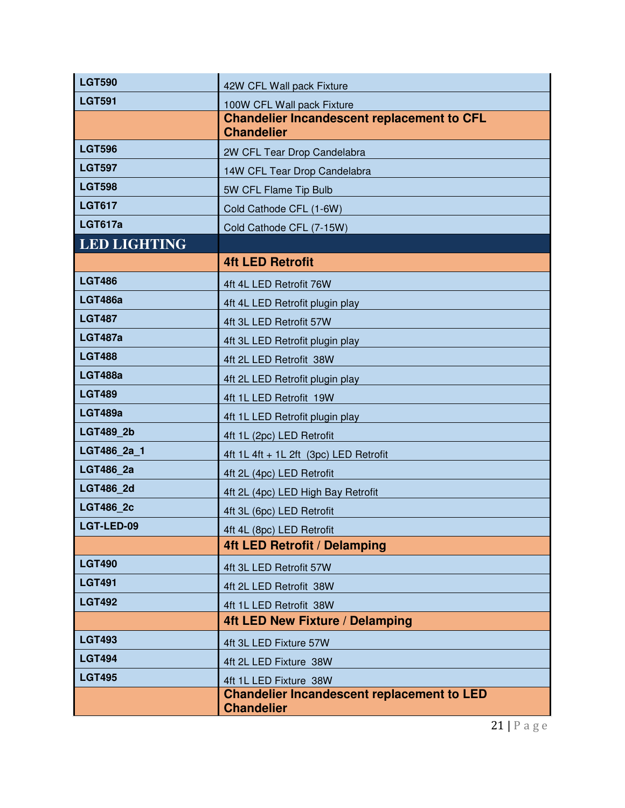| <b>LGT590</b>       | 42W CFL Wall pack Fixture                                              |
|---------------------|------------------------------------------------------------------------|
| <b>LGT591</b>       | 100W CFL Wall pack Fixture                                             |
|                     | <b>Chandelier Incandescent replacement to CFL</b><br><b>Chandelier</b> |
| <b>LGT596</b>       | 2W CFL Tear Drop Candelabra                                            |
| <b>LGT597</b>       | 14W CFL Tear Drop Candelabra                                           |
| <b>LGT598</b>       | 5W CFL Flame Tip Bulb                                                  |
| <b>LGT617</b>       | Cold Cathode CFL (1-6W)                                                |
| <b>LGT617a</b>      | Cold Cathode CFL (7-15W)                                               |
| <b>LED LIGHTING</b> |                                                                        |
|                     | <b>4ft LED Retrofit</b>                                                |
| <b>LGT486</b>       | 4ft 4L LED Retrofit 76W                                                |
| <b>LGT486a</b>      | 4ft 4L LED Retrofit plugin play                                        |
| <b>LGT487</b>       | 4ft 3L LED Retrofit 57W                                                |
| <b>LGT487a</b>      | 4ft 3L LED Retrofit plugin play                                        |
| <b>LGT488</b>       | 4ft 2L LED Retrofit 38W                                                |
| <b>LGT488a</b>      | 4ft 2L LED Retrofit plugin play                                        |
| <b>LGT489</b>       | 4ft 1L LED Retrofit 19W                                                |
| <b>LGT489a</b>      | 4ft 1L LED Retrofit plugin play                                        |
| <b>LGT489 2b</b>    | 4ft 1L (2pc) LED Retrofit                                              |
| LGT486 2a 1         | 4ft 1L 4ft + 1L 2ft (3pc) LED Retrofit                                 |
| <b>LGT486 2a</b>    | 4ft 2L (4pc) LED Retrofit                                              |
| <b>LGT486 2d</b>    | 4ft 2L (4pc) LED High Bay Retrofit                                     |
| <b>LGT486 2c</b>    | 4ft 3L (6pc) LED Retrofit                                              |
| LGT-LED-09          | 4ft 4L (8pc) LED Retrofit                                              |
|                     | <b>4ft LED Retrofit / Delamping</b>                                    |
| <b>LGT490</b>       | 4ft 3L LED Retrofit 57W                                                |
| <b>LGT491</b>       | 4ft 2L LED Retrofit 38W                                                |
| <b>LGT492</b>       | 4ft 1L LED Retrofit 38W                                                |
|                     | <b>4ft LED New Fixture / Delamping</b>                                 |
| <b>LGT493</b>       | 4ft 3L LED Fixture 57W                                                 |
| <b>LGT494</b>       | 4ft 2L LED Fixture 38W                                                 |
| <b>LGT495</b>       | 4ft 1L LED Fixture 38W                                                 |
|                     | <b>Chandelier Incandescent replacement to LED</b><br><b>Chandelier</b> |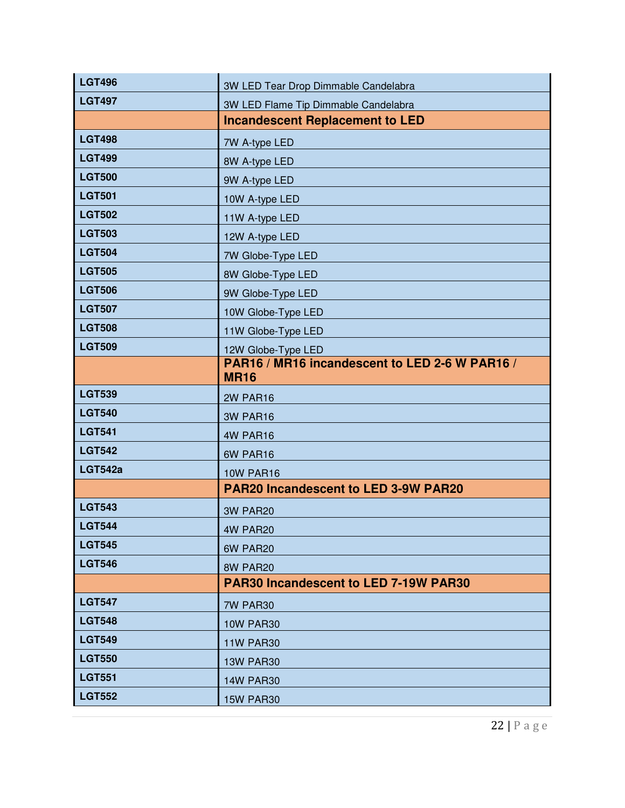| <b>LGT496</b>  | 3W LED Tear Drop Dimmable Candelabra                          |
|----------------|---------------------------------------------------------------|
| <b>LGT497</b>  | 3W LED Flame Tip Dimmable Candelabra                          |
|                | <b>Incandescent Replacement to LED</b>                        |
| <b>LGT498</b>  | 7W A-type LED                                                 |
| <b>LGT499</b>  | 8W A-type LED                                                 |
| <b>LGT500</b>  | 9W A-type LED                                                 |
| <b>LGT501</b>  | 10W A-type LED                                                |
| <b>LGT502</b>  | 11W A-type LED                                                |
| <b>LGT503</b>  | 12W A-type LED                                                |
| <b>LGT504</b>  | 7W Globe-Type LED                                             |
| <b>LGT505</b>  | 8W Globe-Type LED                                             |
| <b>LGT506</b>  | 9W Globe-Type LED                                             |
| <b>LGT507</b>  | 10W Globe-Type LED                                            |
| <b>LGT508</b>  | 11W Globe-Type LED                                            |
| <b>LGT509</b>  | 12W Globe-Type LED                                            |
|                | PAR16 / MR16 incandescent to LED 2-6 W PAR16 /<br><b>MR16</b> |
| <b>LGT539</b>  |                                                               |
| <b>LGT540</b>  | 2W PAR16                                                      |
| <b>LGT541</b>  | 3W PAR16                                                      |
| <b>LGT542</b>  | 4W PAR16                                                      |
| <b>LGT542a</b> | 6W PAR16<br><b>10W PAR16</b>                                  |
|                | <b>PAR20 Incandescent to LED 3-9W PAR20</b>                   |
| <b>LGT543</b>  | 3W PAR20                                                      |
| <b>LGT544</b>  | 4W PAR20                                                      |
| <b>LGT545</b>  | 6W PAR20                                                      |
| <b>LGT546</b>  | 8W PAR20                                                      |
|                | <b>PAR30 Incandescent to LED 7-19W PAR30</b>                  |
| <b>LGT547</b>  | 7W PAR30                                                      |
| <b>LGT548</b>  | <b>10W PAR30</b>                                              |
| <b>LGT549</b>  | <b>11W PAR30</b>                                              |
| <b>LGT550</b>  |                                                               |
|                |                                                               |
| <b>LGT551</b>  | <b>13W PAR30</b><br><b>14W PAR30</b>                          |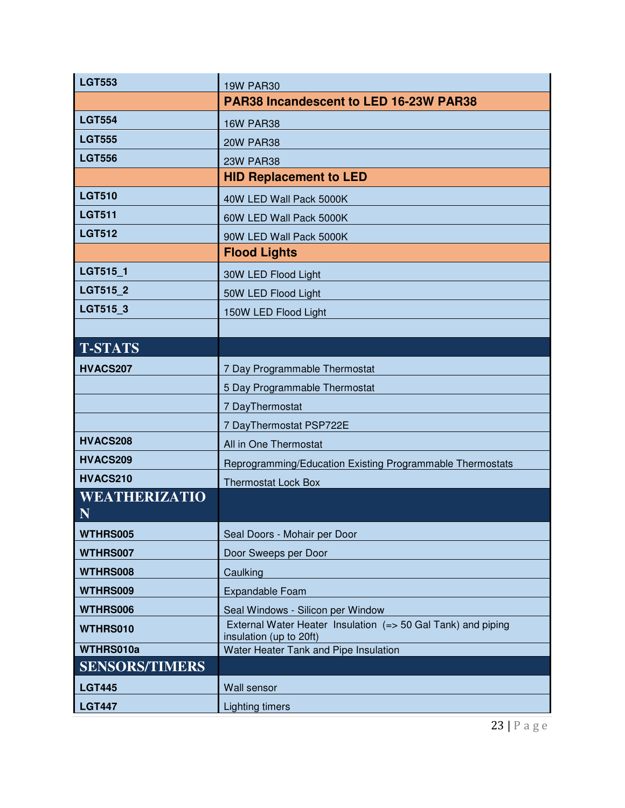| <b>LGT553</b>         | <b>19W PAR30</b>                                                                        |
|-----------------------|-----------------------------------------------------------------------------------------|
|                       | PAR38 Incandescent to LED 16-23W PAR38                                                  |
| <b>LGT554</b>         | <b>16W PAR38</b>                                                                        |
| <b>LGT555</b>         | <b>20W PAR38</b>                                                                        |
| <b>LGT556</b>         | <b>23W PAR38</b>                                                                        |
|                       | <b>HID Replacement to LED</b>                                                           |
| <b>LGT510</b>         | 40W LED Wall Pack 5000K                                                                 |
| <b>LGT511</b>         | 60W LED Wall Pack 5000K                                                                 |
| <b>LGT512</b>         | 90W LED Wall Pack 5000K                                                                 |
|                       | <b>Flood Lights</b>                                                                     |
| LGT515_1              | 30W LED Flood Light                                                                     |
| LGT515_2              | 50W LED Flood Light                                                                     |
| LGT515_3              | 150W LED Flood Light                                                                    |
|                       |                                                                                         |
| <b>T-STATS</b>        |                                                                                         |
| HVACS207              | 7 Day Programmable Thermostat                                                           |
|                       | 5 Day Programmable Thermostat                                                           |
|                       | 7 DayThermostat                                                                         |
|                       | 7 DayThermostat PSP722E                                                                 |
| HVACS208              | All in One Thermostat                                                                   |
| HVACS209              | Reprogramming/Education Existing Programmable Thermostats                               |
| HVACS210              | <b>Thermostat Lock Box</b>                                                              |
| <b>WEATHERIZATIO</b>  |                                                                                         |
| N                     |                                                                                         |
| WTHRS005              | Seal Doors - Mohair per Door                                                            |
| WTHRS007              | Door Sweeps per Door                                                                    |
| WTHRS008              | Caulking                                                                                |
| WTHRS009              | <b>Expandable Foam</b>                                                                  |
| WTHRS006              | Seal Windows - Silicon per Window                                                       |
| WTHRS010              | External Water Heater Insulation (=> 50 Gal Tank) and piping<br>insulation (up to 20ft) |
| WTHRS010a             | Water Heater Tank and Pipe Insulation                                                   |
| <b>SENSORS/TIMERS</b> |                                                                                         |
| <b>LGT445</b>         | Wall sensor                                                                             |
| <b>LGT447</b>         | <b>Lighting timers</b>                                                                  |